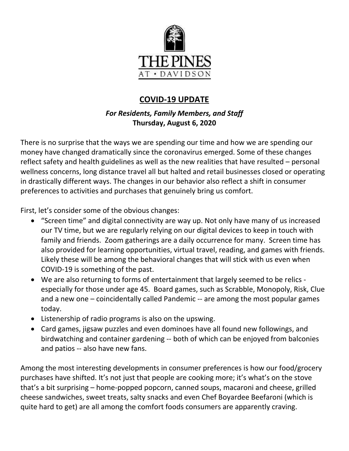

# **COVID-19 UPDATE**

## *For Residents, Family Members, and Staff* **Thursday, August 6, 2020**

There is no surprise that the ways we are spending our time and how we are spending our money have changed dramatically since the coronavirus emerged. Some of these changes reflect safety and health guidelines as well as the new realities that have resulted – personal wellness concerns, long distance travel all but halted and retail businesses closed or operating in drastically different ways. The changes in our behavior also reflect a shift in consumer preferences to activities and purchases that genuinely bring us comfort.

First, let's consider some of the obvious changes:

- "Screen time" and digital connectivity are way up. Not only have many of us increased our TV time, but we are regularly relying on our digital devices to keep in touch with family and friends. Zoom gatherings are a daily occurrence for many. Screen time has also provided for learning opportunities, virtual travel, reading, and games with friends. Likely these will be among the behavioral changes that will stick with us even when COVID-19 is something of the past.
- We are also returning to forms of entertainment that largely seemed to be relics especially for those under age 45. Board games, such as Scrabble, Monopoly, Risk, Clue and a new one – coincidentally called Pandemic -- are among the most popular games today.
- Listenership of radio programs is also on the upswing.
- Card games, jigsaw puzzles and even dominoes have all found new followings, and birdwatching and container gardening -- both of which can be enjoyed from balconies and patios -- also have new fans.

Among the most interesting developments in consumer preferences is how our food/grocery purchases have shifted. It's not just that people are cooking more; it's what's on the stove that's a bit surprising – home-popped popcorn, canned soups, macaroni and cheese, grilled cheese sandwiches, sweet treats, salty snacks and even Chef Boyardee Beefaroni (which is quite hard to get) are all among the comfort foods consumers are apparently craving.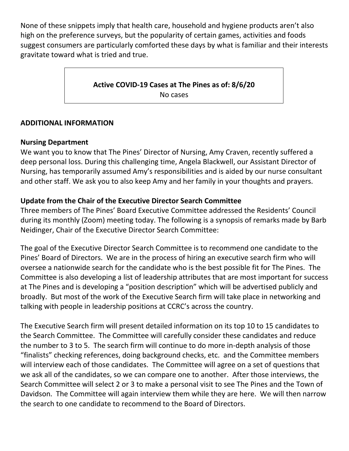None of these snippets imply that health care, household and hygiene products aren't also high on the preference surveys, but the popularity of certain games, activities and foods suggest consumers are particularly comforted these days by what is familiar and their interests gravitate toward what is tried and true.

## **Active COVID-19 Cases at The Pines as of: 8/6/20** No cases

#### **ADDITIONAL INFORMATION**

#### **Nursing Department**

We want you to know that The Pines' Director of Nursing, Amy Craven, recently suffered a deep personal loss. During this challenging time, Angela Blackwell, our Assistant Director of Nursing, has temporarily assumed Amy's responsibilities and is aided by our nurse consultant and other staff. We ask you to also keep Amy and her family in your thoughts and prayers.

#### **Update from the Chair of the Executive Director Search Committee**

Three members of The Pines' Board Executive Committee addressed the Residents' Council during its monthly (Zoom) meeting today. The following is a synopsis of remarks made by Barb Neidinger, Chair of the Executive Director Search Committee:

The goal of the Executive Director Search Committee is to recommend one candidate to the Pines' Board of Directors. We are in the process of hiring an executive search firm who will oversee a nationwide search for the candidate who is the best possible fit for The Pines. The Committee is also developing a list of leadership attributes that are most important for success at The Pines and is developing a "position description" which will be advertised publicly and broadly. But most of the work of the Executive Search firm will take place in networking and talking with people in leadership positions at CCRC's across the country.

The Executive Search firm will present detailed information on its top 10 to 15 candidates to the Search Committee. The Committee will carefully consider these candidates and reduce the number to 3 to 5. The search firm will continue to do more in-depth analysis of those "finalists" checking references, doing background checks, etc. and the Committee members will interview each of those candidates. The Committee will agree on a set of questions that we ask all of the candidates, so we can compare one to another. After those interviews, the Search Committee will select 2 or 3 to make a personal visit to see The Pines and the Town of Davidson. The Committee will again interview them while they are here. We will then narrow the search to one candidate to recommend to the Board of Directors.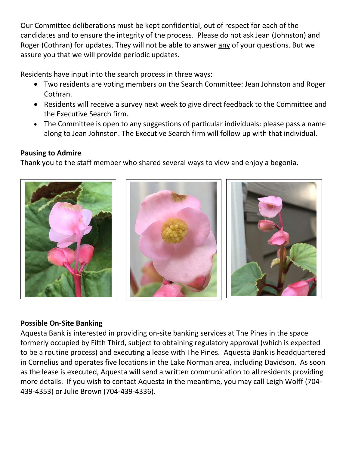Our Committee deliberations must be kept confidential, out of respect for each of the candidates and to ensure the integrity of the process. Please do not ask Jean (Johnston) and Roger (Cothran) for updates. They will not be able to answer any of your questions. But we assure you that we will provide periodic updates.

Residents have input into the search process in three ways:

- Two residents are voting members on the Search Committee: Jean Johnston and Roger Cothran.
- Residents will receive a survey next week to give direct feedback to the Committee and the Executive Search firm.
- The Committee is open to any suggestions of particular individuals: please pass a name along to Jean Johnston. The Executive Search firm will follow up with that individual.

## **Pausing to Admire**

Thank you to the staff member who shared several ways to view and enjoy a begonia.



#### **Possible On-Site Banking**

Aquesta Bank is interested in providing on-site banking services at The Pines in the space formerly occupied by Fifth Third, subject to obtaining regulatory approval (which is expected to be a routine process) and executing a lease with The Pines. Aquesta Bank is headquartered in Cornelius and operates five locations in the Lake Norman area, including Davidson. As soon as the lease is executed, Aquesta will send a written communication to all residents providing more details. If you wish to contact Aquesta in the meantime, you may call Leigh Wolff (704- 439-4353) or Julie Brown (704-439-4336).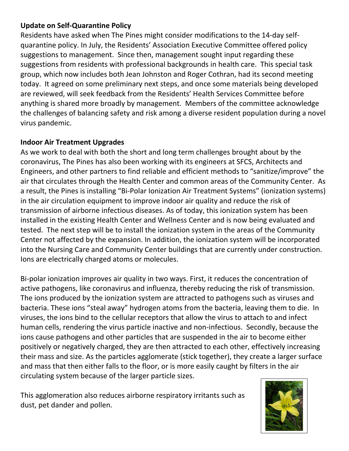## **Update on Self-Quarantine Policy**

Residents have asked when The Pines might consider modifications to the 14-day selfquarantine policy. In July, the Residents' Association Executive Committee offered policy suggestions to management. Since then, management sought input regarding these suggestions from residents with professional backgrounds in health care. This special task group, which now includes both Jean Johnston and Roger Cothran, had its second meeting today. It agreed on some preliminary next steps, and once some materials being developed are reviewed, will seek feedback from the Residents' Health Services Committee before anything is shared more broadly by management. Members of the committee acknowledge the challenges of balancing safety and risk among a diverse resident population during a novel virus pandemic.

#### **Indoor Air Treatment Upgrades**

As we work to deal with both the short and long term challenges brought about by the coronavirus, The Pines has also been working with its engineers at SFCS, Architects and Engineers, and other partners to find reliable and efficient methods to "sanitize/improve" the air that circulates through the Health Center and common areas of the Community Center. As a result, the Pines is installing "Bi-Polar Ionization Air Treatment Systems" (ionization systems) in the air circulation equipment to improve indoor air quality and reduce the risk of transmission of airborne infectious diseases. As of today, this ionization system has been installed in the existing Health Center and Wellness Center and is now being evaluated and tested. The next step will be to install the ionization system in the areas of the Community Center not affected by the expansion. In addition, the ionization system will be incorporated into the Nursing Care and Community Center buildings that are currently under construction. Ions are electrically charged atoms or molecules.

Bi-polar ionization improves air quality in two ways. First, it reduces the concentration of active pathogens, like coronavirus and influenza, thereby reducing the risk of transmission. The ions produced by the ionization system are attracted to pathogens such as viruses and bacteria. These ions "steal away" hydrogen atoms from the bacteria, leaving them to die. In viruses, the ions bind to the cellular receptors that allow the virus to attach to and infect human cells, rendering the virus particle inactive and non-infectious. Secondly, because the ions cause pathogens and other particles that are suspended in the air to become either positively or negatively charged, they are then attracted to each other, effectively increasing their mass and size. As the particles agglomerate (stick together), they create a larger surface and mass that then either falls to the floor, or is more easily caught by filters in the air circulating system because of the larger particle sizes.

This agglomeration also reduces airborne respiratory irritants such as dust, pet dander and pollen.